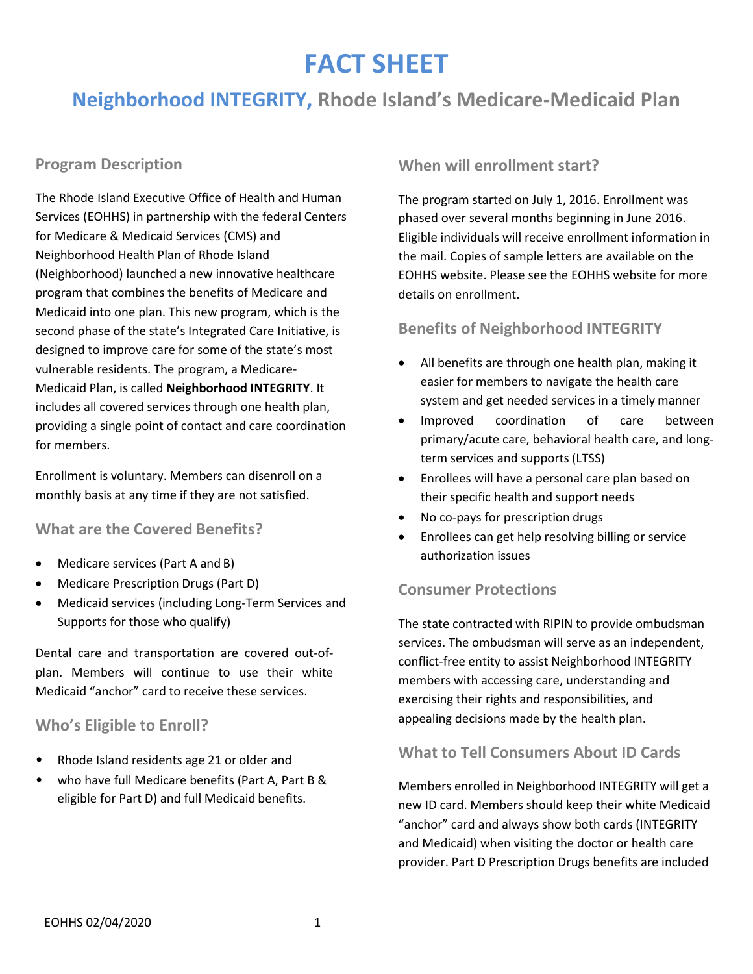# **FACT SHEET**

# **Neighborhood INTEGRITY, Rhode Island's Medicare-Medicaid Plan**

# **Program Description**

The Rhode Island Executive Office of Health and Human Services (EOHHS) in partnership with the federal Centers for Medicare & Medicaid Services (CMS) and Neighborhood Health Plan of Rhode Island (Neighborhood) launched a new innovative healthcare program that combines the benefits of Medicare and Medicaid into one plan. This new program, which is the second phase of the state's Integrated Care Initiative, is designed to improve care for some of the state's most vulnerable residents. The program, a Medicare-Medicaid Plan, is called **Neighborhood INTEGRITY**. It includes all covered services through one health plan, providing a single point of contact and care coordination for members.

Enrollment is voluntary. Members can disenroll on a monthly basis at any time if they are not satisfied.

#### **What are the Covered Benefits?**

- Medicare services (Part A and B)
- Medicare Prescription Drugs (Part D)
- Medicaid services (including Long-Term Services and Supports for those who qualify)

Dental care and transportation are covered out-ofplan. Members will continue to use their white Medicaid "anchor" card to receive these services.

# **Who's Eligible to Enroll?**

- Rhode Island residents age 21 or older and
- who have full Medicare benefits (Part A, Part B & eligible for Part D) and full Medicaid benefits.

# **When will enrollment start?**

The program started on July 1, 2016. Enrollment was phased over several months beginning in June 2016. Eligible individuals will receive enrollment information in the mail. Copies of sample letters are available on the EOHHS website. Please see the EOHHS website for more details on enrollment.

# **Benefits of Neighborhood INTEGRITY**

- All benefits are through one health plan, making it easier for members to navigate the health care system and get needed services in a timely manner
- Improved coordination of care between primary/acute care, behavioral health care, and longterm services and supports (LTSS)
- Enrollees will have a personal care plan based on their specific health and support needs
- No co-pays for prescription drugs
- Enrollees can get help resolving billing or service authorization issues

# **Consumer Protections**

The state contracted with RIPIN to provide ombudsman services. The ombudsman will serve as an independent, conflict-free entity to assist Neighborhood INTEGRITY members with accessing care, understanding and exercising their rights and responsibilities, and appealing decisions made by the health plan.

# **What to Tell Consumers About ID Cards**

Members enrolled in Neighborhood INTEGRITY will get a new ID card. Members should keep their white Medicaid "anchor" card and always show both cards (INTEGRITY and Medicaid) when visiting the doctor or health care provider. Part D Prescription Drugs benefits are included